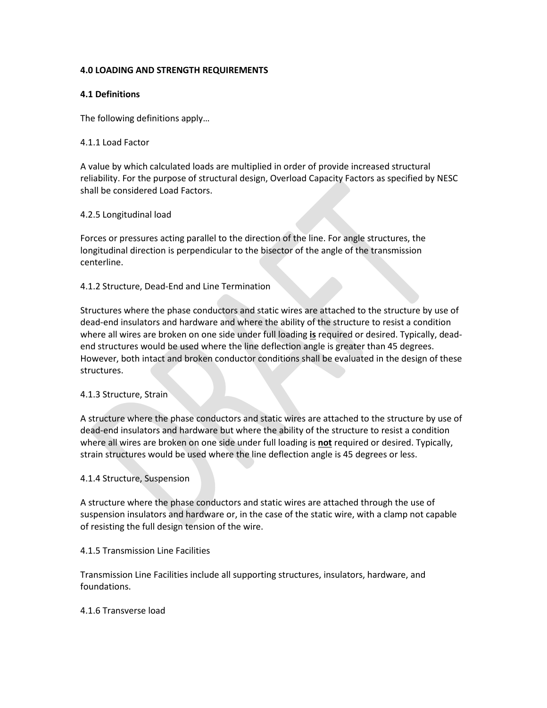## **4.0 LOADING AND STRENGTH REQUIREMENTS**

## **4.1 Definitions**

The following definitions apply…

## 4.1.1 Load Factor

A value by which calculated loads are multiplied in order of provide increased structural reliability. For the purpose of structural design, Overload Capacity Factors as specified by NESC shall be considered Load Factors.

## 4.2.5 Longitudinal load

Forces or pressures acting parallel to the direction of the line. For angle structures, the longitudinal direction is perpendicular to the bisector of the angle of the transmission centerline.

## 4.1.2 Structure, Dead-End and Line Termination

Structures where the phase conductors and static wires are attached to the structure by use of dead-end insulators and hardware and where the ability of the structure to resist a condition where all wires are broken on one side under full loading **is** required or desired. Typically, deadend structures would be used where the line deflection angle is greater than 45 degrees. However, both intact and broken conductor conditions shall be evaluated in the design of these structures.

## 4.1.3 Structure, Strain

A structure where the phase conductors and static wires are attached to the structure by use of dead-end insulators and hardware but where the ability of the structure to resist a condition where all wires are broken on one side under full loading is **not** required or desired. Typically, strain structures would be used where the line deflection angle is 45 degrees or less.

## 4.1.4 Structure, Suspension

A structure where the phase conductors and static wires are attached through the use of suspension insulators and hardware or, in the case of the static wire, with a clamp not capable of resisting the full design tension of the wire.

## 4.1.5 Transmission Line Facilities

Transmission Line Facilities include all supporting structures, insulators, hardware, and foundations.

# 4.1.6 Transverse load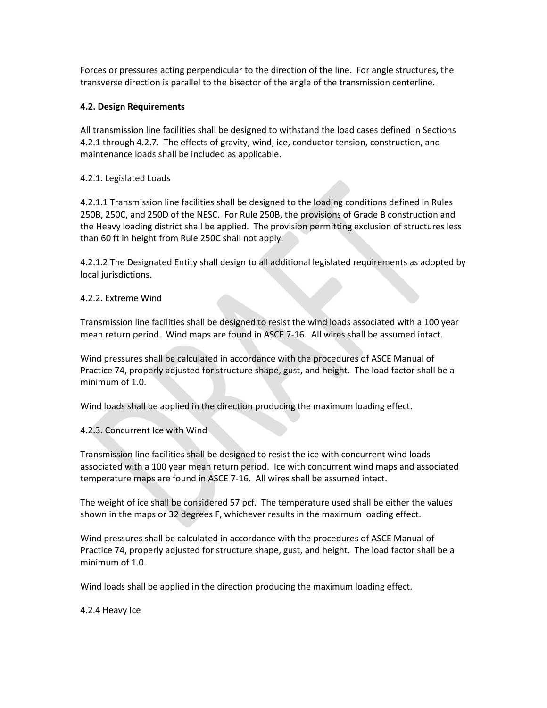Forces or pressures acting perpendicular to the direction of the line. For angle structures, the transverse direction is parallel to the bisector of the angle of the transmission centerline.

## **4.2. Design Requirements**

All transmission line facilities shall be designed to withstand the load cases defined in Sections 4.2.1 through 4.2.7. The effects of gravity, wind, ice, conductor tension, construction, and maintenance loads shall be included as applicable.

## 4.2.1. Legislated Loads

4.2.1.1 Transmission line facilities shall be designed to the loading conditions defined in Rules 250B, 250C, and 250D of the NESC. For Rule 250B, the provisions of Grade B construction and the Heavy loading district shall be applied. The provision permitting exclusion of structures less than 60 ft in height from Rule 250C shall not apply.

4.2.1.2 The Designated Entity shall design to all additional legislated requirements as adopted by local jurisdictions.

## 4.2.2. Extreme Wind

Transmission line facilities shall be designed to resist the wind loads associated with a 100 year mean return period. Wind maps are found in ASCE 7-16. All wires shall be assumed intact.

Wind pressures shall be calculated in accordance with the procedures of ASCE Manual of Practice 74, properly adjusted for structure shape, gust, and height. The load factor shall be a minimum of 1.0.

Wind loads shall be applied in the direction producing the maximum loading effect.

4.2.3. Concurrent Ice with Wind

Transmission line facilities shall be designed to resist the ice with concurrent wind loads associated with a 100 year mean return period. Ice with concurrent wind maps and associated temperature maps are found in ASCE 7-16. All wires shall be assumed intact.

The weight of ice shall be considered 57 pcf. The temperature used shall be either the values shown in the maps or 32 degrees F, whichever results in the maximum loading effect.

Wind pressures shall be calculated in accordance with the procedures of ASCE Manual of Practice 74, properly adjusted for structure shape, gust, and height. The load factor shall be a minimum of 1.0.

Wind loads shall be applied in the direction producing the maximum loading effect.

4.2.4 Heavy Ice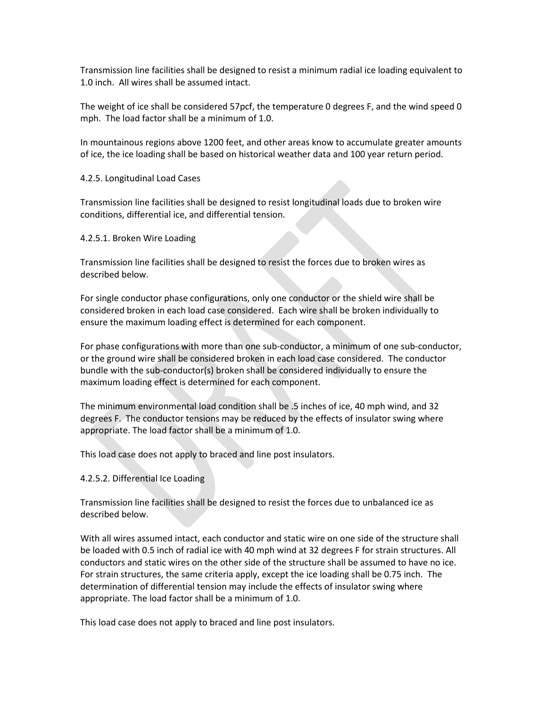Transmission line facilities shall be designed to resist a minimum radial ice loading equivalent to 1.0 inch. All wires shall be assumed intact.

The weight of ice shall be considered 57pcf, the temperature 0 degrees F, and the wind speed 0 mph. The load factor shall be a minimum of 1.0.

In mountainous regions above 1200 feet, and other areas know to accumulate greater amounts of ice, the ice loading shall be based on historical weather data and 100 year return period.

#### 4.2.5. Longitudinal Load Cases

Transmission line facilities shall be designed to resist longitudinal loads due to broken wire conditions, differential ice, and differential tension.

#### 4.2.5.1. Broken Wire Loading

Transmission line facilities shall be designed to resist the forces due to broken wires as described below.

For single conductor phase configurations, only one conductor or the shield wire shall be considered broken in each load case considered. Each wire shall be broken individually to ensure the maximum loading effect is determined for each component.

For phase configurations with more than one sub-conductor, a minimum of one sub-conductor, or the ground wire shall be considered broken in each load case considered. The conductor bundle with the sub-conductor(s) broken shall be considered individually to ensure the maximum loading effect is determined for each component.

The minimum environmental load condition shall be .5 inches of ice, 40 mph wind, and 32 degrees F. The conductor tensions may be reduced by the effects of insulator swing where appropriate. The load factor shall be a minimum of 1.0.

This load case does not apply to braced and line post insulators.

#### 4.2.5.2. Differential Ice Loading

Transmission line facilities shall be designed to resist the forces due to unbalanced ice as described below.

With all wires assumed intact, each conductor and static wire on one side of the structure shall be loaded with 0.5 inch of radial ice with 40 mph wind at 32 degrees F for strain structures. All conductors and static wires on the other side of the structure shall be assumed to have no ice. For strain structures, the same criteria apply, except the ice loading shall be 0.75 inch. The determination of differential tension may include the effects of insulator swing where appropriate. The load factor shall be a minimum of 1.0.

This load case does not apply to braced and line post insulators.